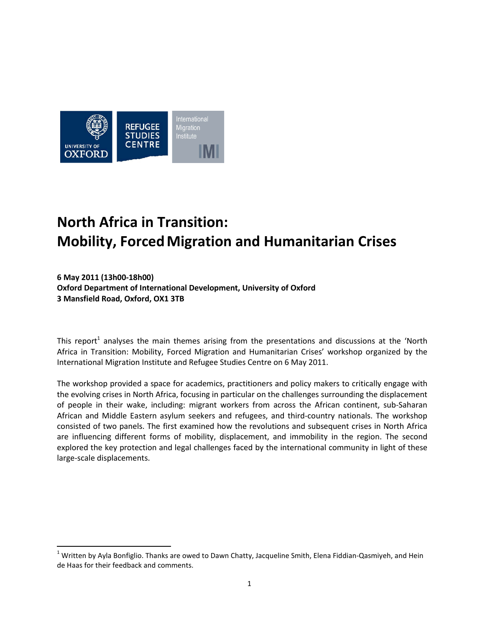

# **North Africa in Transition: Mobility, ForcedMigration and Humanitarian Crises**

**6 May 2011 (13h00-18h00) Oxford Department of International Development, University of Oxford 3 Mansfield Road, Oxford, OX1 3TB**

This report<sup>[1](#page-0-0)</sup> analyses the main themes arising from the presentations and discussions at the 'North Africa in Transition: Mobility, Forced Migration and Humanitarian Crises' workshop organized by the International Migration Institute and Refugee Studies Centre on 6 May 2011.

The workshop provided a space for academics, practitioners and policy makers to critically engage with the evolving crises in North Africa, focusing in particular on the challenges surrounding the displacement of people in their wake, including: migrant workers from across the African continent, sub-Saharan African and Middle Eastern asylum seekers and refugees, and third-country nationals. The workshop consisted of two panels. The first examined how the revolutions and subsequent crises in North Africa are influencing different forms of mobility, displacement, and immobility in the region. The second explored the key protection and legal challenges faced by the international community in light of these large-scale displacements.

<span id="page-0-0"></span> $1$  Written by Ayla Bonfiglio. Thanks are owed to Dawn Chatty, Jacqueline Smith, Elena Fiddian-Qasmiyeh, and Hein de Haas for their feedback and comments.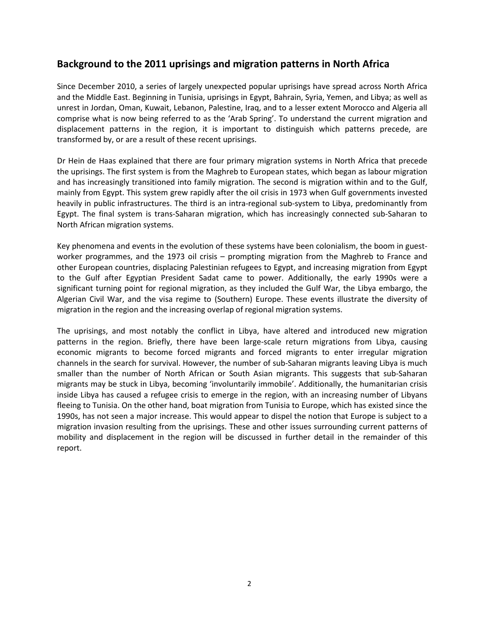## **Background to the 2011 uprisings and migration patterns in North Africa**

Since December 2010, a series of largely unexpected popular uprisings have spread across North Africa and the Middle East. Beginning in Tunisia, uprisings in Egypt, Bahrain, Syria, Yemen, and Libya; as well as unrest in Jordan, Oman, Kuwait, Lebanon, Palestine, Iraq, and to a lesser extent Morocco and Algeria all comprise what is now being referred to as the 'Arab Spring'. To understand the current migration and displacement patterns in the region, it is important to distinguish which patterns precede, are transformed by, or are a result of these recent uprisings.

Dr Hein de Haas explained that there are four primary migration systems in North Africa that precede the uprisings. The first system is from the Maghreb to European states, which began as labour migration and has increasingly transitioned into family migration. The second is migration within and to the Gulf, mainly from Egypt. This system grew rapidly after the oil crisis in 1973 when Gulf governments invested heavily in public infrastructures. The third is an intra-regional sub-system to Libya, predominantly from Egypt. The final system is trans-Saharan migration, which has increasingly connected sub-Saharan to North African migration systems.

Key phenomena and events in the evolution of these systems have been colonialism, the boom in guestworker programmes, and the 1973 oil crisis – prompting migration from the Maghreb to France and other European countries, displacing Palestinian refugees to Egypt, and increasing migration from Egypt to the Gulf after Egyptian President Sadat came to power. Additionally, the early 1990s were a significant turning point for regional migration, as they included the Gulf War, the Libya embargo, the Algerian Civil War, and the visa regime to (Southern) Europe. These events illustrate the diversity of migration in the region and the increasing overlap of regional migration systems.

The uprisings, and most notably the conflict in Libya, have altered and introduced new migration patterns in the region. Briefly, there have been large-scale return migrations from Libya, causing economic migrants to become forced migrants and forced migrants to enter irregular migration channels in the search for survival. However, the number of sub-Saharan migrants leaving Libya is much smaller than the number of North African or South Asian migrants. This suggests that sub-Saharan migrants may be stuck in Libya, becoming 'involuntarily immobile'. Additionally, the humanitarian crisis inside Libya has caused a refugee crisis to emerge in the region, with an increasing number of Libyans fleeing to Tunisia. On the other hand, boat migration from Tunisia to Europe, which has existed since the 1990s, has not seen a major increase. This would appear to dispel the notion that Europe is subject to a migration invasion resulting from the uprisings. These and other issues surrounding current patterns of mobility and displacement in the region will be discussed in further detail in the remainder of this report.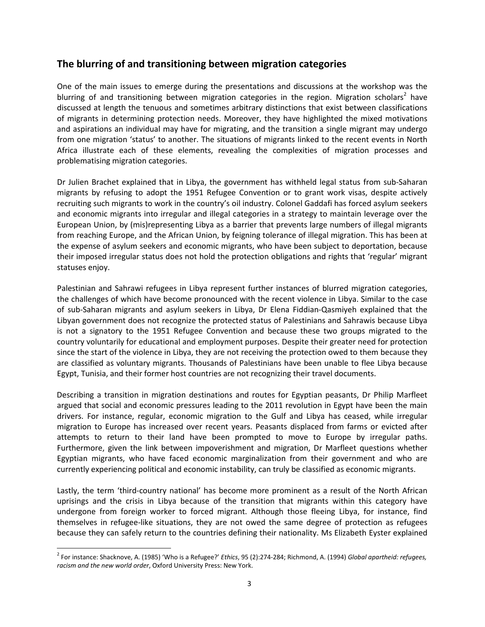## **The blurring of and transitioning between migration categories**

One of the main issues to emerge during the presentations and discussions at the workshop was the blurring of and transitioning between migration categories in the region. Migration scholars<sup>[2](#page-2-0)</sup> have discussed at length the tenuous and sometimes arbitrary distinctions that exist between classifications of migrants in determining protection needs. Moreover, they have highlighted the mixed motivations and aspirations an individual may have for migrating, and the transition a single migrant may undergo from one migration 'status' to another. The situations of migrants linked to the recent events in North Africa illustrate each of these elements, revealing the complexities of migration processes and problematising migration categories.

Dr Julien Brachet explained that in Libya, the government has withheld legal status from sub-Saharan migrants by refusing to adopt the 1951 Refugee Convention or to grant work visas, despite actively recruiting such migrants to work in the country's oil industry. Colonel Gaddafi has forced asylum seekers and economic migrants into irregular and illegal categories in a strategy to maintain leverage over the European Union, by (mis)representing Libya as a barrier that prevents large numbers of illegal migrants from reaching Europe, and the African Union, by feigning tolerance of illegal migration. This has been at the expense of asylum seekers and economic migrants, who have been subject to deportation, because their imposed irregular status does not hold the protection obligations and rights that 'regular' migrant statuses enjoy.

Palestinian and Sahrawi refugees in Libya represent further instances of blurred migration categories, the challenges of which have become pronounced with the recent violence in Libya. Similar to the case of sub-Saharan migrants and asylum seekers in Libya, Dr Elena Fiddian-Qasmiyeh explained that the Libyan government does not recognize the protected status of Palestinians and Sahrawis because Libya is not a signatory to the 1951 Refugee Convention and because these two groups migrated to the country voluntarily for educational and employment purposes. Despite their greater need for protection since the start of the violence in Libya, they are not receiving the protection owed to them because they are classified as voluntary migrants. Thousands of Palestinians have been unable to flee Libya because Egypt, Tunisia, and their former host countries are not recognizing their travel documents.

Describing a transition in migration destinations and routes for Egyptian peasants, Dr Philip Marfleet argued that social and economic pressures leading to the 2011 revolution in Egypt have been the main drivers. For instance, regular, economic migration to the Gulf and Libya has ceased, while irregular migration to Europe has increased over recent years. Peasants displaced from farms or evicted after attempts to return to their land have been prompted to move to Europe by irregular paths. Furthermore, given the link between impoverishment and migration, Dr Marfleet questions whether Egyptian migrants, who have faced economic marginalization from their government and who are currently experiencing political and economic instability, can truly be classified as economic migrants.

Lastly, the term 'third-country national' has become more prominent as a result of the North African uprisings and the crisis in Libya because of the transition that migrants within this category have undergone from foreign worker to forced migrant. Although those fleeing Libya, for instance, find themselves in refugee-like situations, they are not owed the same degree of protection as refugees because they can safely return to the countries defining their nationality. Ms Elizabeth Eyster explained

<span id="page-2-0"></span><sup>2</sup> For instance: Shacknove, A. (1985) 'Who is a Refugee?' *Ethics*, 95 (2):274-284; Richmond, A. (1994) *Global apartheid: refugees, racism and the new world order*, Oxford University Press: New York.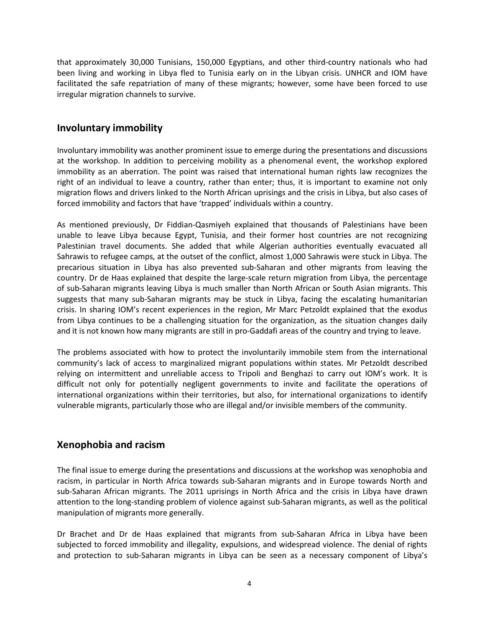that approximately 30,000 Tunisians, 150,000 Egyptians, and other third-country nationals who had been living and working in Libya fled to Tunisia early on in the Libyan crisis. UNHCR and IOM have facilitated the safe repatriation of many of these migrants; however, some have been forced to use irregular migration channels to survive.

#### **Involuntary immobility**

Involuntary immobility was another prominent issue to emerge during the presentations and discussions at the workshop. In addition to perceiving mobility as a phenomenal event, the workshop explored immobility as an aberration. The point was raised that international human rights law recognizes the right of an individual to leave a country, rather than enter; thus, it is important to examine not only migration flows and drivers linked to the North African uprisings and the crisis in Libya, but also cases of forced immobility and factors that have 'trapped' individuals within a country.

As mentioned previously, Dr Fiddian-Qasmiyeh explained that thousands of Palestinians have been unable to leave Libya because Egypt, Tunisia, and their former host countries are not recognizing Palestinian travel documents. She added that while Algerian authorities eventually evacuated all Sahrawis to refugee camps, at the outset of the conflict, almost 1,000 Sahrawis were stuck in Libya. The precarious situation in Libya has also prevented sub-Saharan and other migrants from leaving the country. Dr de Haas explained that despite the large-scale return migration from Libya, the percentage of sub-Saharan migrants leaving Libya is much smaller than North African or South Asian migrants. This suggests that many sub-Saharan migrants may be stuck in Libya, facing the escalating humanitarian crisis. In sharing IOM's recent experiences in the region, Mr Marc Petzoldt explained that the exodus from Libya continues to be a challenging situation for the organization, as the situation changes daily and it is not known how many migrants are still in pro-Gaddafi areas of the country and trying to leave.

The problems associated with how to protect the involuntarily immobile stem from the international community's lack of access to marginalized migrant populations within states. Mr Petzoldt described relying on intermittent and unreliable access to Tripoli and Benghazi to carry out IOM's work. It is difficult not only for potentially negligent governments to invite and facilitate the operations of international organizations within their territories, but also, for international organizations to identify vulnerable migrants, particularly those who are illegal and/or invisible members of the community.

#### **Xenophobia and racism**

The final issue to emerge during the presentations and discussions at the workshop was xenophobia and racism, in particular in North Africa towards sub-Saharan migrants and in Europe towards North and sub-Saharan African migrants. The 2011 uprisings in North Africa and the crisis in Libya have drawn attention to the long-standing problem of violence against sub-Saharan migrants, as well as the political manipulation of migrants more generally.

Dr Brachet and Dr de Haas explained that migrants from sub-Saharan Africa in Libya have been subjected to forced immobility and illegality, expulsions, and widespread violence. The denial of rights and protection to sub-Saharan migrants in Libya can be seen as a necessary component of Libya's